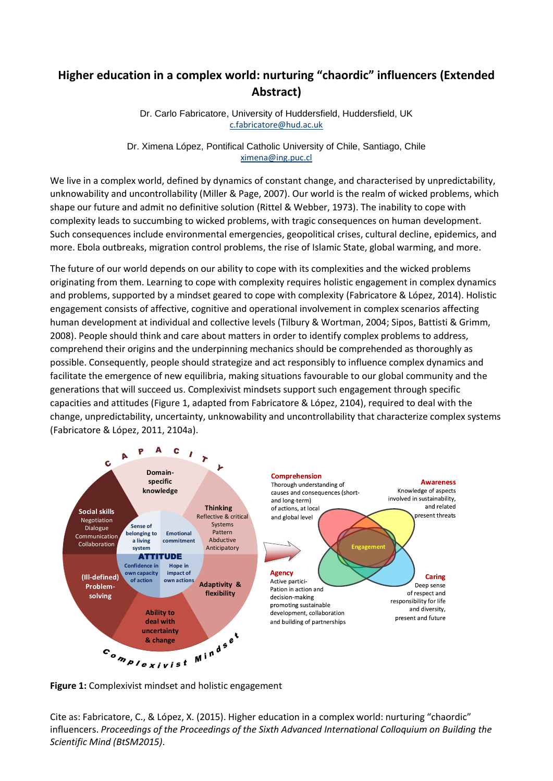## **Higher education in a complex world: nurturing "chaordic" influencers (Extended Abstract)**

Dr. Carlo Fabricatore, University of Huddersfield, Huddersfield, UK [c.fabricatore@hud.ac.uk](mailto:c.fabricatore@hud.ac.uk)

Dr. Ximena López, Pontifical Catholic University of Chile, Santiago, Chile [ximena@ing.puc.cl](mailto:ximena@ing.puc.cl)

We live in a complex world, defined by dynamics of constant change, and characterised by unpredictability, unknowability and uncontrollability (Miller & Page, 2007). Our world is the realm of wicked problems, which shape our future and admit no definitive solution (Rittel & Webber, 1973). The inability to cope with complexity leads to succumbing to wicked problems, with tragic consequences on human development. Such consequences include environmental emergencies, geopolitical crises, cultural decline, epidemics, and more. Ebola outbreaks, migration control problems, the rise of Islamic State, global warming, and more.

The future of our world depends on our ability to cope with its complexities and the wicked problems originating from them. Learning to cope with complexity requires holistic engagement in complex dynamics and problems, supported by a mindset geared to cope with complexity (Fabricatore & López, 2014). Holistic engagement consists of affective, cognitive and operational involvement in complex scenarios affecting human development at individual and collective levels (Tilbury & Wortman, 2004; Sipos, Battisti & Grimm, 2008). People should think and care about matters in order to identify complex problems to address, comprehend their origins and the underpinning mechanics should be comprehended as thoroughly as possible. Consequently, people should strategize and act responsibly to influence complex dynamics and facilitate the emergence of new equilibria, making situations favourable to our global community and the generations that will succeed us. Complexivist mindsets support such engagement through specific capacities and attitudes (Figure 1, adapted from Fabricatore & López, 2104), required to deal with the change, unpredictability, uncertainty, unknowability and uncontrollability that characterize complex systems (Fabricatore & López, 2011, 2104a).



**Figure 1:** Complexivist mindset and holistic engagement

Cite as: Fabricatore, C., & López, X. (2015). Higher education in a complex world: nurturing "chaordic" influencers. *Proceedings of the Proceedings of the Sixth Advanced International Colloquium on Building the Scientific Mind (BtSM2015)*.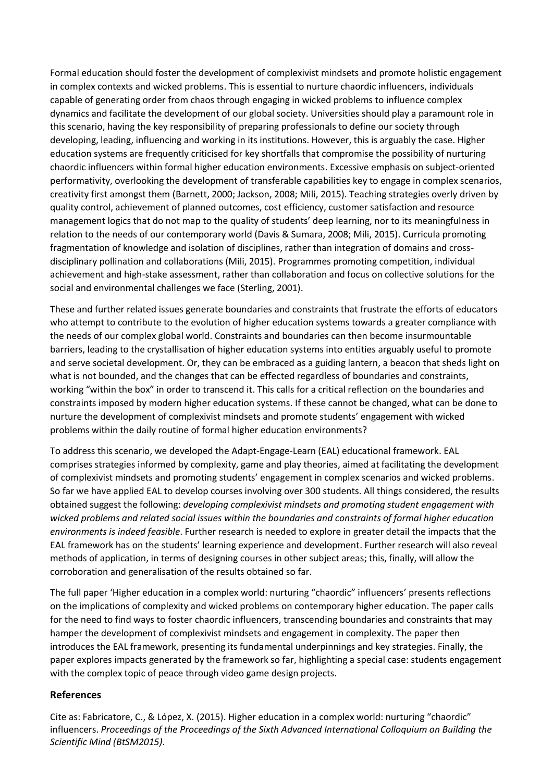Formal education should foster the development of complexivist mindsets and promote holistic engagement in complex contexts and wicked problems. This is essential to nurture chaordic influencers, individuals capable of generating order from chaos through engaging in wicked problems to influence complex dynamics and facilitate the development of our global society. Universities should play a paramount role in this scenario, having the key responsibility of preparing professionals to define our society through developing, leading, influencing and working in its institutions. However, this is arguably the case. Higher education systems are frequently criticised for key shortfalls that compromise the possibility of nurturing chaordic influencers within formal higher education environments. Excessive emphasis on subject-oriented performativity, overlooking the development of transferable capabilities key to engage in complex scenarios, creativity first amongst them (Barnett, 2000; Jackson, 2008; Mili, 2015). Teaching strategies overly driven by quality control, achievement of planned outcomes, cost efficiency, customer satisfaction and resource management logics that do not map to the quality of students' deep learning, nor to its meaningfulness in relation to the needs of our contemporary world (Davis & Sumara, 2008; Mili, 2015). Curricula promoting fragmentation of knowledge and isolation of disciplines, rather than integration of domains and crossdisciplinary pollination and collaborations (Mili, 2015). Programmes promoting competition, individual achievement and high-stake assessment, rather than collaboration and focus on collective solutions for the social and environmental challenges we face (Sterling, 2001).

These and further related issues generate boundaries and constraints that frustrate the efforts of educators who attempt to contribute to the evolution of higher education systems towards a greater compliance with the needs of our complex global world. Constraints and boundaries can then become insurmountable barriers, leading to the crystallisation of higher education systems into entities arguably useful to promote and serve societal development. Or, they can be embraced as a guiding lantern, a beacon that sheds light on what is not bounded, and the changes that can be effected regardless of boundaries and constraints, working "within the box" in order to transcend it. This calls for a critical reflection on the boundaries and constraints imposed by modern higher education systems. If these cannot be changed, what can be done to nurture the development of complexivist mindsets and promote students' engagement with wicked problems within the daily routine of formal higher education environments?

To address this scenario, we developed the Adapt-Engage-Learn (EAL) educational framework. EAL comprises strategies informed by complexity, game and play theories, aimed at facilitating the development of complexivist mindsets and promoting students' engagement in complex scenarios and wicked problems. So far we have applied EAL to develop courses involving over 300 students. All things considered, the results obtained suggest the following: *developing complexivist mindsets and promoting student engagement with wicked problems and related social issues within the boundaries and constraints of formal higher education environments is indeed feasible*. Further research is needed to explore in greater detail the impacts that the EAL framework has on the students' learning experience and development. Further research will also reveal methods of application, in terms of designing courses in other subject areas; this, finally, will allow the corroboration and generalisation of the results obtained so far.

The full paper 'Higher education in a complex world: nurturing "chaordic" influencers' presents reflections on the implications of complexity and wicked problems on contemporary higher education. The paper calls for the need to find ways to foster chaordic influencers, transcending boundaries and constraints that may hamper the development of complexivist mindsets and engagement in complexity. The paper then introduces the EAL framework, presenting its fundamental underpinnings and key strategies. Finally, the paper explores impacts generated by the framework so far, highlighting a special case: students engagement with the complex topic of peace through video game design projects.

## **References**

Cite as: Fabricatore, C., & López, X. (2015). Higher education in a complex world: nurturing "chaordic" influencers. *Proceedings of the Proceedings of the Sixth Advanced International Colloquium on Building the Scientific Mind (BtSM2015)*.